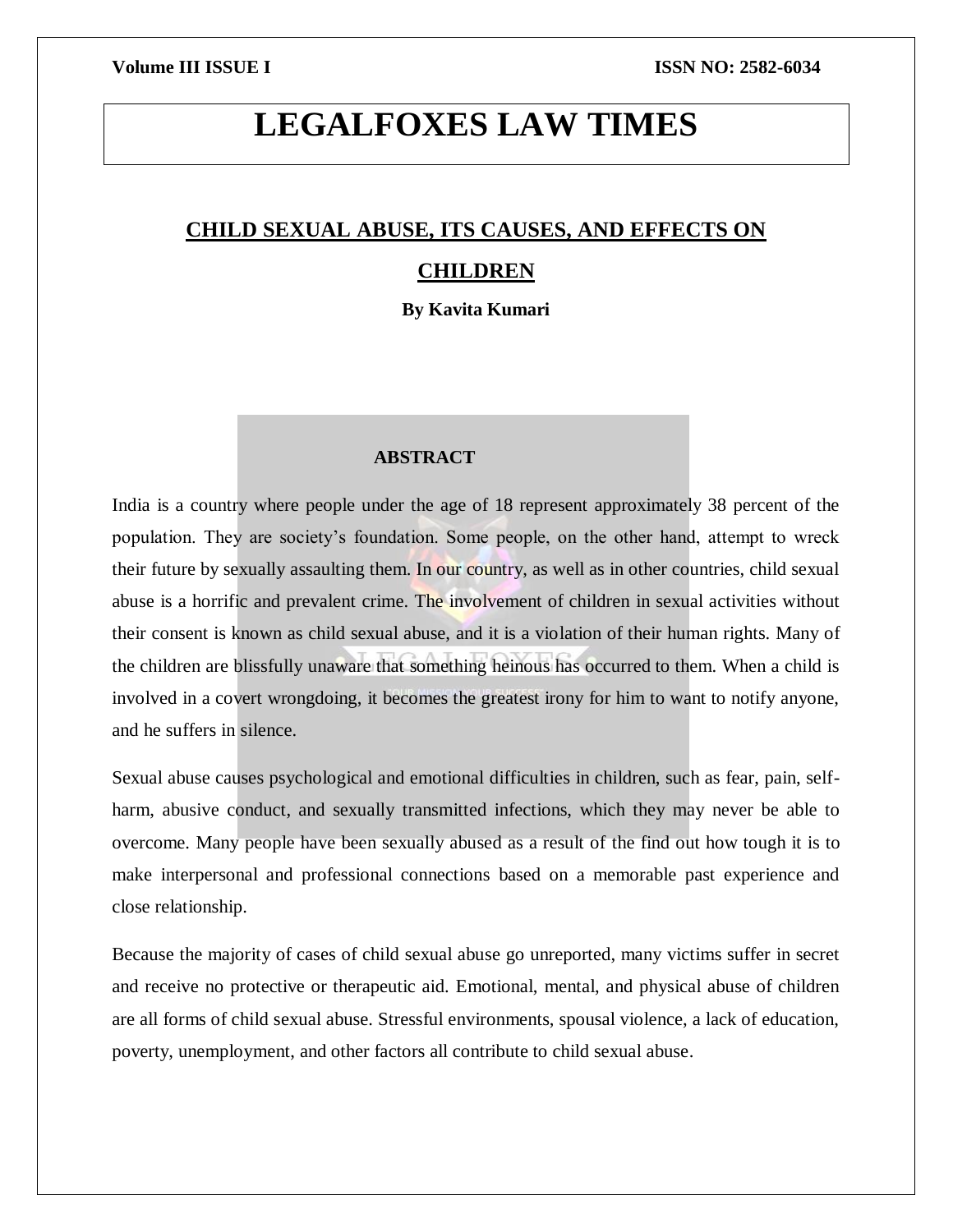# **LEGALFOXES LAW TIMES**

# **CHILD SEXUAL ABUSE, ITS CAUSES, AND EFFECTS ON CHILDREN**

**By Kavita Kumari**

# **ABSTRACT**

India is a country where people under the age of 18 represent approximately 38 percent of the population. They are society's foundation. Some people, on the other hand, attempt to wreck their future by sexually assaulting them. In our country, as well as in other countries, child sexual abuse is a horrific and prevalent crime. The involvement of children in sexual activities without their consent is known as child sexual abuse, and it is a violation of their human rights. Many of the children are blissfully unaware that something heinous has occurred to them. When a child is involved in a covert wrongdoing, it becomes the greatest irony for him to want to notify anyone, and he suffers in silence.

Sexual abuse causes psychological and emotional difficulties in children, such as fear, pain, selfharm, abusive conduct, and sexually transmitted infections, which they may never be able to overcome. Many people have been sexually abused as a result of the find out how tough it is to make interpersonal and professional connections based on a memorable past experience and close relationship.

Because the majority of cases of child sexual abuse go unreported, many victims suffer in secret and receive no protective or therapeutic aid. Emotional, mental, and physical abuse of children are all forms of child sexual abuse. Stressful environments, spousal violence, a lack of education, poverty, unemployment, and other factors all contribute to child sexual abuse.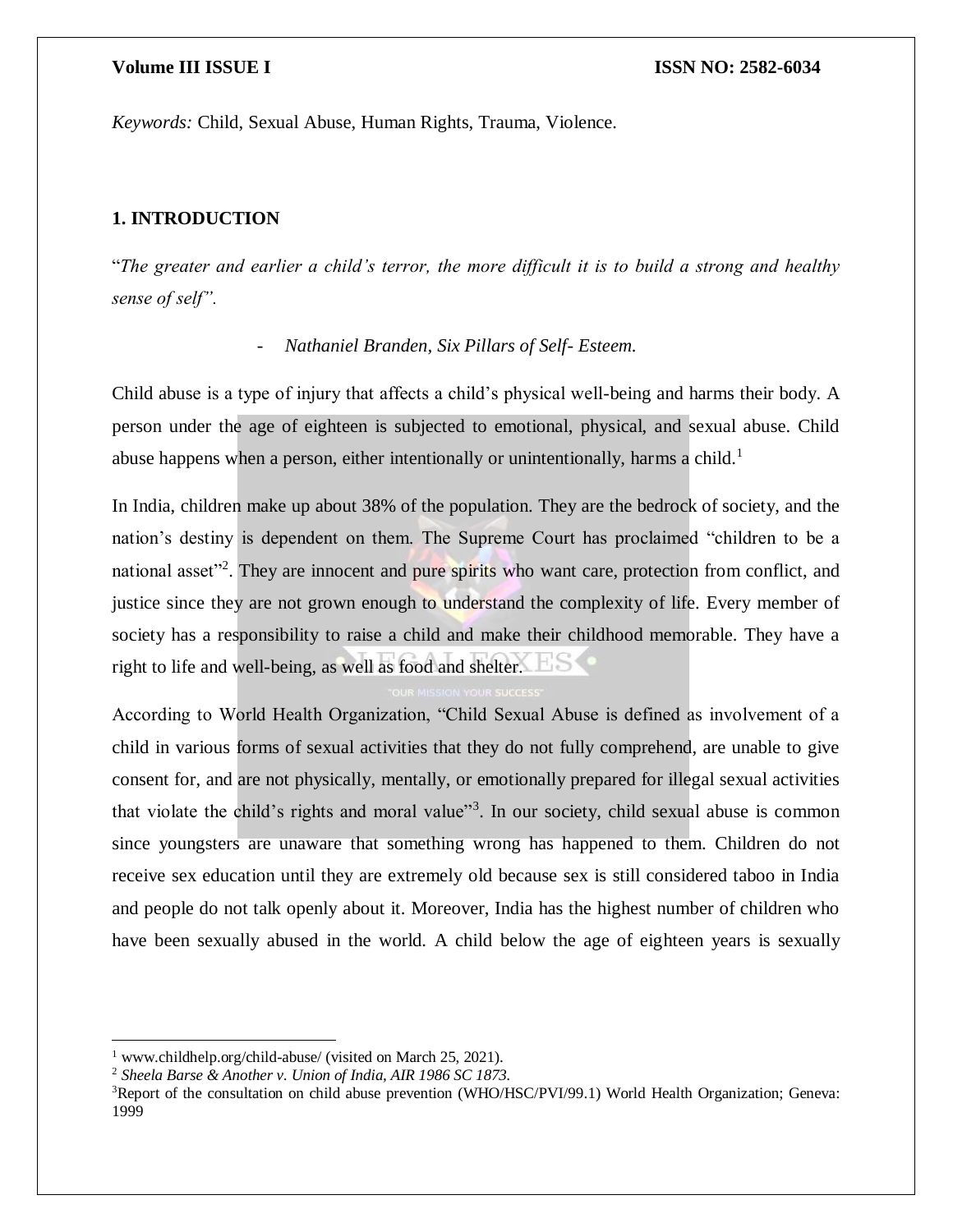*Keywords:* Child, Sexual Abuse, Human Rights, Trauma, Violence.

# **1. INTRODUCTION**

"*The greater and earlier a child's terror, the more difficult it is to build a strong and healthy sense of self".*

### - *Nathaniel Branden, Six Pillars of Self- Esteem.*

Child abuse is a type of injury that affects a child's physical well-being and harms their body. A person under the age of eighteen is subjected to emotional, physical, and sexual abuse. Child abuse happens when a person, either intentionally or unintentionally, harms a child.<sup>1</sup>

In India, children make up about 38% of the population. They are the bedrock of society, and the nation's destiny is dependent on them. The Supreme Court has proclaimed "children to be a national asset<sup>12</sup>. They are innocent and pure spirits who want care, protection from conflict, and justice since they are not grown enough to understand the complexity of life. Every member of society has a responsibility to raise a child and make their childhood memorable. They have a right to life and well-being, as well as food and shelter.

According to World Health Organization, "Child Sexual Abuse is defined as involvement of a child in various forms of sexual activities that they do not fully comprehend, are unable to give consent for, and are not physically, mentally, or emotionally prepared for illegal sexual activities that violate the child's rights and moral value"<sup>3</sup>. In our society, child sexual abuse is common since youngsters are unaware that something wrong has happened to them. Children do not receive sex education until they are extremely old because sex is still considered taboo in India and people do not talk openly about it. Moreover, India has the highest number of children who have been sexually abused in the world. A child below the age of eighteen years is sexually

 $\overline{a}$ 

<sup>&</sup>lt;sup>1</sup> www.childhelp.org/child-abuse/ (visited on March 25, 2021).

<sup>2</sup> *Sheela Barse & Another v. Union of India, AIR 1986 SC 1873.*

<sup>&</sup>lt;sup>3</sup>Report of the consultation on child abuse prevention (WHO/HSC/PVI/99.1) World Health Organization; Geneva: 1999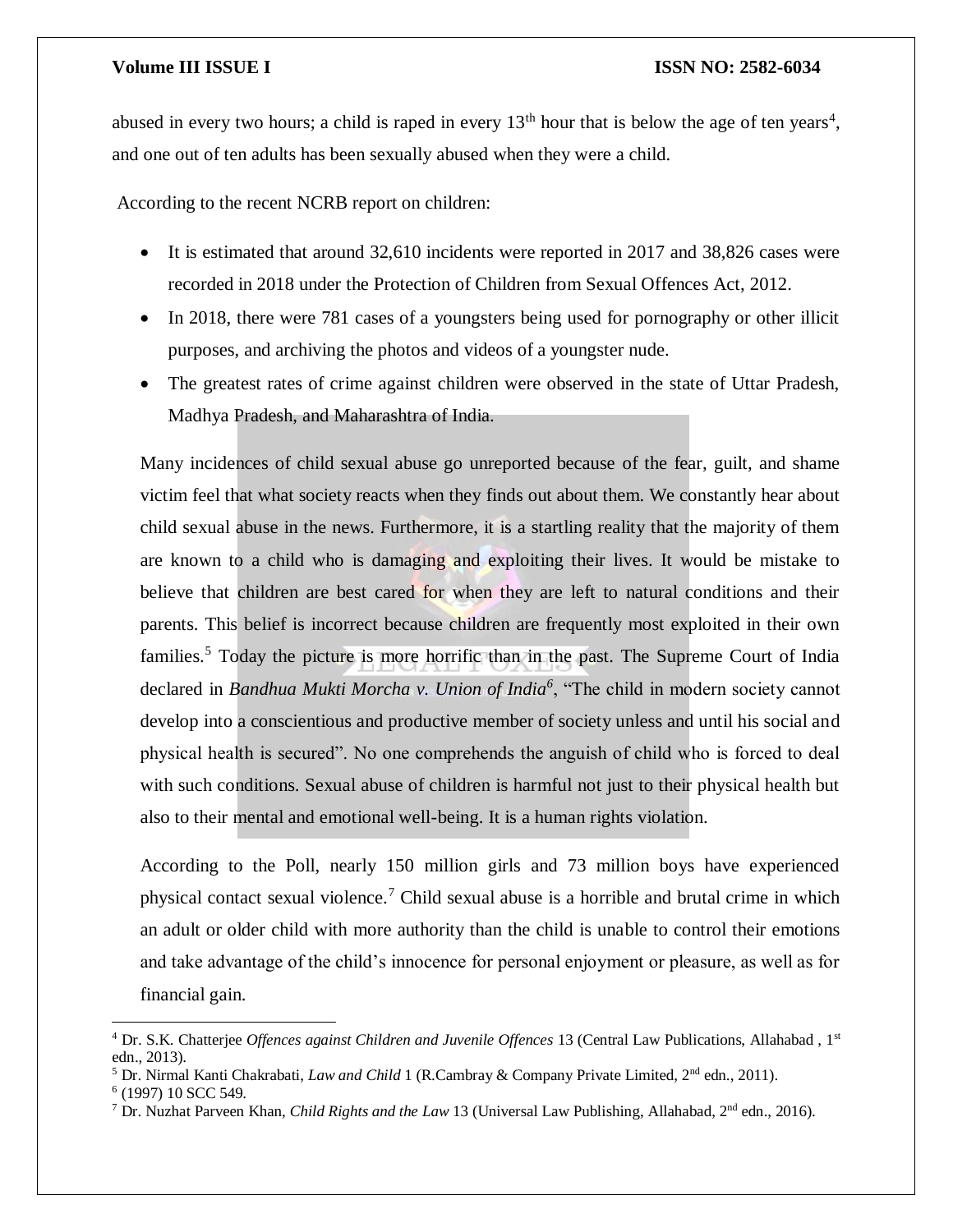abused in every two hours; a child is raped in every  $13<sup>th</sup>$  hour that is below the age of ten years<sup>4</sup>, and one out of ten adults has been sexually abused when they were a child.

According to the recent NCRB report on children:

- It is estimated that around 32,610 incidents were reported in 2017 and 38,826 cases were recorded in 2018 under the Protection of Children from Sexual Offences Act, 2012.
- In 2018, there were 781 cases of a youngsters being used for pornography or other illicit purposes, and archiving the photos and videos of a youngster nude.
- The greatest rates of crime against children were observed in the state of Uttar Pradesh, Madhya Pradesh, and Maharashtra of India.

Many incidences of child sexual abuse go unreported because of the fear, guilt, and shame victim feel that what society reacts when they finds out about them. We constantly hear about child sexual abuse in the news. Furthermore, it is a startling reality that the majority of them are known to a child who is damaging and exploiting their lives. It would be mistake to believe that children are best cared for when they are left to natural conditions and their parents. This belief is incorrect because children are frequently most exploited in their own families.<sup>5</sup> Today the picture is more horrific than in the past. The Supreme Court of India declared in *Bandhua Mukti Morcha v. Union of India<sup>6</sup>* , "The child in modern society cannot develop into a conscientious and productive member of society unless and until his social and physical health is secured". No one comprehends the anguish of child who is forced to deal with such conditions. Sexual abuse of children is harmful not just to their physical health but also to their mental and emotional well-being. It is a human rights violation.

According to the Poll, nearly 150 million girls and 73 million boys have experienced physical contact sexual violence.<sup>7</sup> Child sexual abuse is a horrible and brutal crime in which an adult or older child with more authority than the child is unable to control their emotions and take advantage of the child's innocence for personal enjoyment or pleasure, as well as for financial gain.

 $\overline{\phantom{a}}$ 

<sup>4</sup> Dr. S.K. Chatterjee *Offences against Children and Juvenile Offences* 13 (Central Law Publications, Allahabad , 1st edn., 2013).

<sup>5</sup> Dr. Nirmal Kanti Chakrabati, *Law and Child* 1 (R.Cambray & Company Private Limited, 2nd edn., 2011).

<sup>6</sup> (1997) 10 SCC 549.

<sup>7</sup> Dr. Nuzhat Parveen Khan, *Child Rights and the Law* 13 (Universal Law Publishing, Allahabad, 2nd edn., 2016).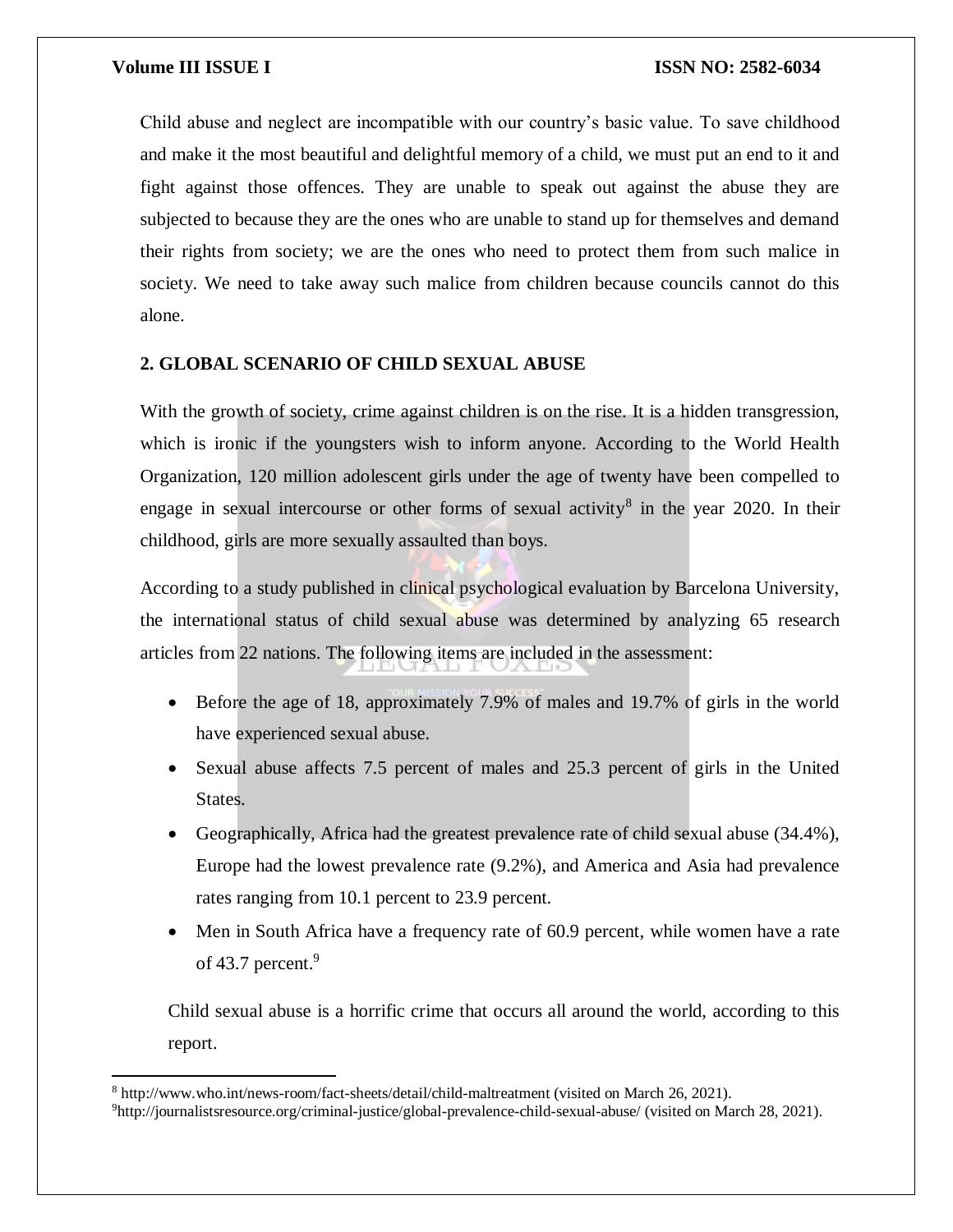$\overline{\phantom{a}}$ 

Child abuse and neglect are incompatible with our country's basic value. To save childhood and make it the most beautiful and delightful memory of a child, we must put an end to it and fight against those offences. They are unable to speak out against the abuse they are subjected to because they are the ones who are unable to stand up for themselves and demand their rights from society; we are the ones who need to protect them from such malice in society. We need to take away such malice from children because councils cannot do this alone.

# **2. GLOBAL SCENARIO OF CHILD SEXUAL ABUSE**

With the growth of society, crime against children is on the rise. It is a hidden transgression, which is ironic if the youngsters wish to inform anyone. According to the World Health Organization, 120 million adolescent girls under the age of twenty have been compelled to engage in sexual intercourse or other forms of sexual activity<sup>8</sup> in the year 2020. In their childhood, girls are more sexually assaulted than boys.

According to a study published in clinical psychological evaluation by Barcelona University, the international status of child sexual abuse was determined by analyzing 65 research articles from 22 nations. The following items are included in the assessment:

- Before the age of 18, approximately 7.9% of males and 19.7% of girls in the world have experienced sexual abuse.
- Sexual abuse affects 7.5 percent of males and 25.3 percent of girls in the United States.
- Geographically, Africa had the greatest prevalence rate of child sexual abuse (34.4%), Europe had the lowest prevalence rate (9.2%), and America and Asia had prevalence rates ranging from 10.1 percent to 23.9 percent.
- Men in South Africa have a frequency rate of 60.9 percent, while women have a rate of 43.7 percent.<sup>9</sup>

Child sexual abuse is a horrific crime that occurs all around the world, according to this report.

<sup>8</sup> http://www.who.int/news-room/fact-sheets/detail/child-maltreatment (visited on March 26, 2021).

<sup>9</sup>http://journalistsresource.org/criminal-justice/global-prevalence-child-sexual-abuse/ (visited on March 28, 2021).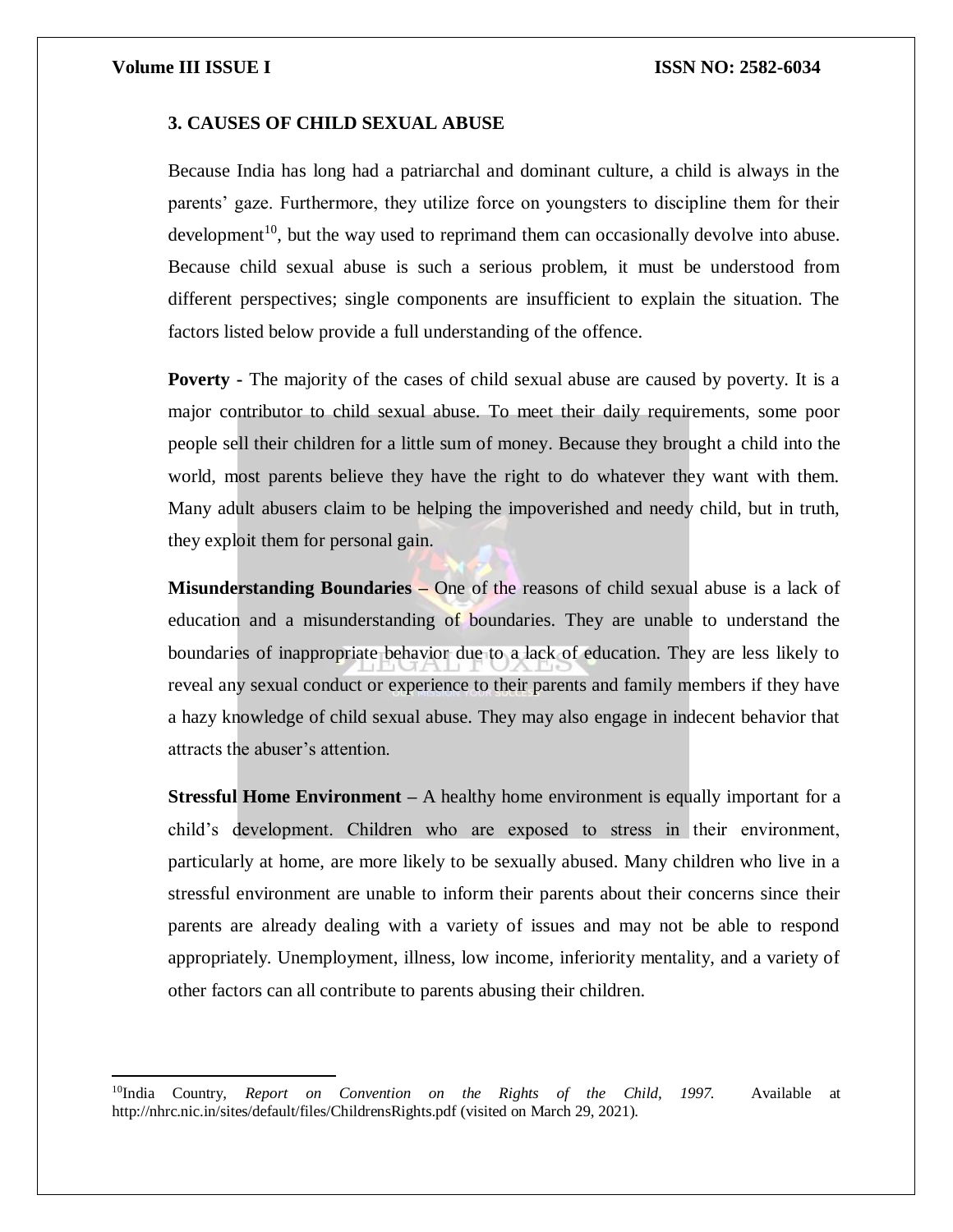$\overline{\phantom{a}}$ 

### **3. CAUSES OF CHILD SEXUAL ABUSE**

Because India has long had a patriarchal and dominant culture, a child is always in the parents' gaze. Furthermore, they utilize force on youngsters to discipline them for their development<sup>10</sup>, but the way used to reprimand them can occasionally devolve into abuse. Because child sexual abuse is such a serious problem, it must be understood from different perspectives; single components are insufficient to explain the situation. The factors listed below provide a full understanding of the offence.

**Poverty -** The majority of the cases of child sexual abuse are caused by poverty. It is a major contributor to child sexual abuse. To meet their daily requirements, some poor people sell their children for a little sum of money. Because they brought a child into the world, most parents believe they have the right to do whatever they want with them. Many adult abusers claim to be helping the impoverished and needy child, but in truth, they exploit them for personal gain.

**Misunderstanding Boundaries –** One of the reasons of child sexual abuse is a lack of education and a misunderstanding of boundaries. They are unable to understand the boundaries of inappropriate behavior due to a lack of education. They are less likely to reveal any sexual conduct or experience to their parents and family members if they have a hazy knowledge of child sexual abuse. They may also engage in indecent behavior that attracts the abuser's attention.

**Stressful Home Environment –** A healthy home environment is equally important for a child's development. Children who are exposed to stress in their environment, particularly at home, are more likely to be sexually abused. Many children who live in a stressful environment are unable to inform their parents about their concerns since their parents are already dealing with a variety of issues and may not be able to respond appropriately. Unemployment, illness, low income, inferiority mentality, and a variety of other factors can all contribute to parents abusing their children.

<sup>10</sup>India Country, *Report on Convention on the Rights of the Child, 1997.* Available at http://nhrc.nic.in/sites/default/files/ChildrensRights.pdf (visited on March 29, 2021).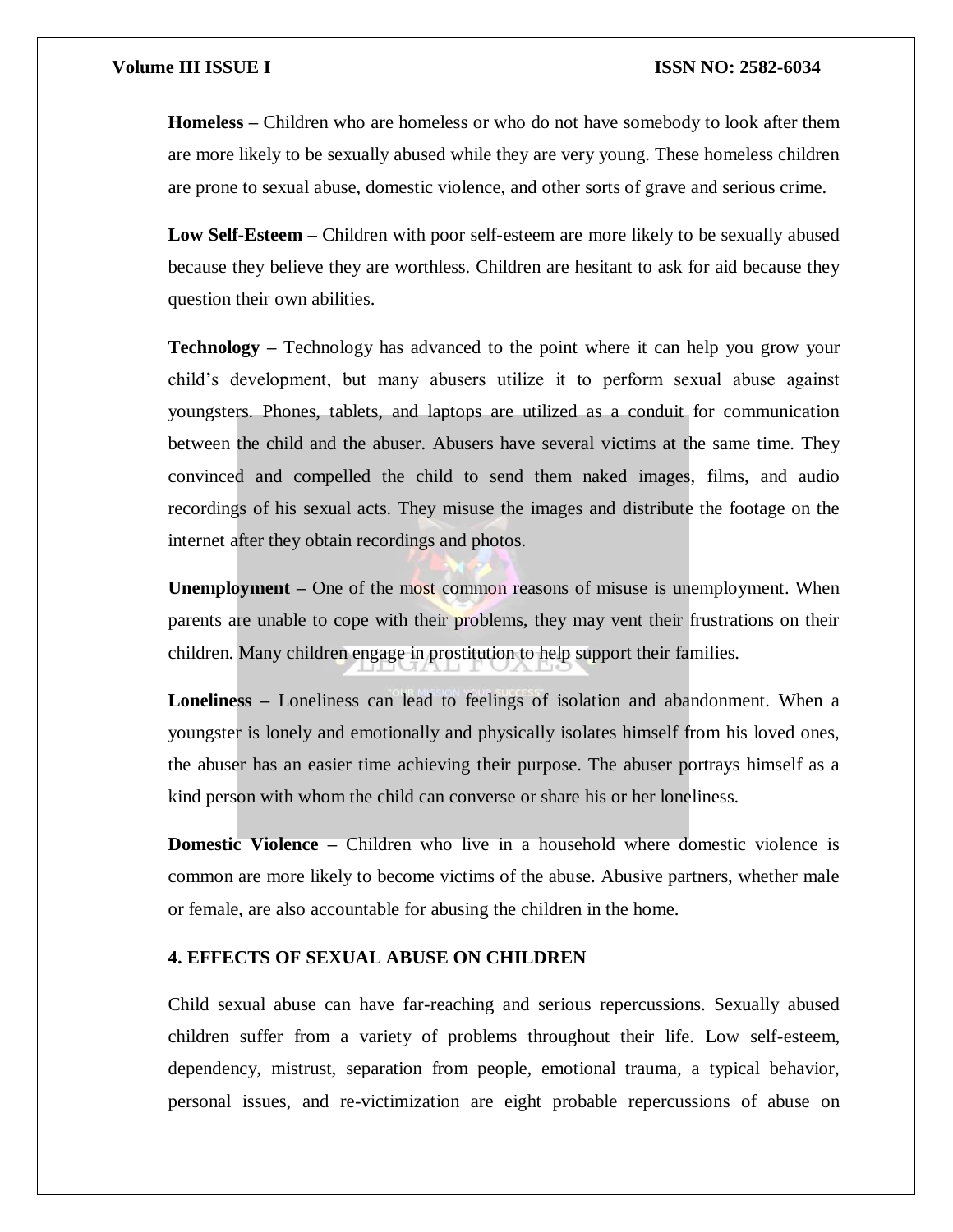**Homeless –** Children who are homeless or who do not have somebody to look after them are more likely to be sexually abused while they are very young. These homeless children are prone to sexual abuse, domestic violence, and other sorts of grave and serious crime.

**Low Self-Esteem –** Children with poor self-esteem are more likely to be sexually abused because they believe they are worthless. Children are hesitant to ask for aid because they question their own abilities.

**Technology –** Technology has advanced to the point where it can help you grow your child's development, but many abusers utilize it to perform sexual abuse against youngsters. Phones, tablets, and laptops are utilized as a conduit for communication between the child and the abuser. Abusers have several victims at the same time. They convinced and compelled the child to send them naked images, films, and audio recordings of his sexual acts. They misuse the images and distribute the footage on the internet after they obtain recordings and photos.

**Unemployment** – One of the most common reasons of misuse is unemployment. When parents are unable to cope with their problems, they may vent their frustrations on their children. Many children engage in prostitution to help support their families.

**Loneliness –** Loneliness can lead to feelings of isolation and abandonment. When a youngster is lonely and emotionally and physically isolates himself from his loved ones, the abuser has an easier time achieving their purpose. The abuser portrays himself as a kind person with whom the child can converse or share his or her loneliness.

**Domestic Violence –** Children who live in a household where domestic violence is common are more likely to become victims of the abuse. Abusive partners, whether male or female, are also accountable for abusing the children in the home.

# **4. EFFECTS OF SEXUAL ABUSE ON CHILDREN**

Child sexual abuse can have far-reaching and serious repercussions. Sexually abused children suffer from a variety of problems throughout their life. Low self-esteem, dependency, mistrust, separation from people, emotional trauma, a typical behavior, personal issues, and re-victimization are eight probable repercussions of abuse on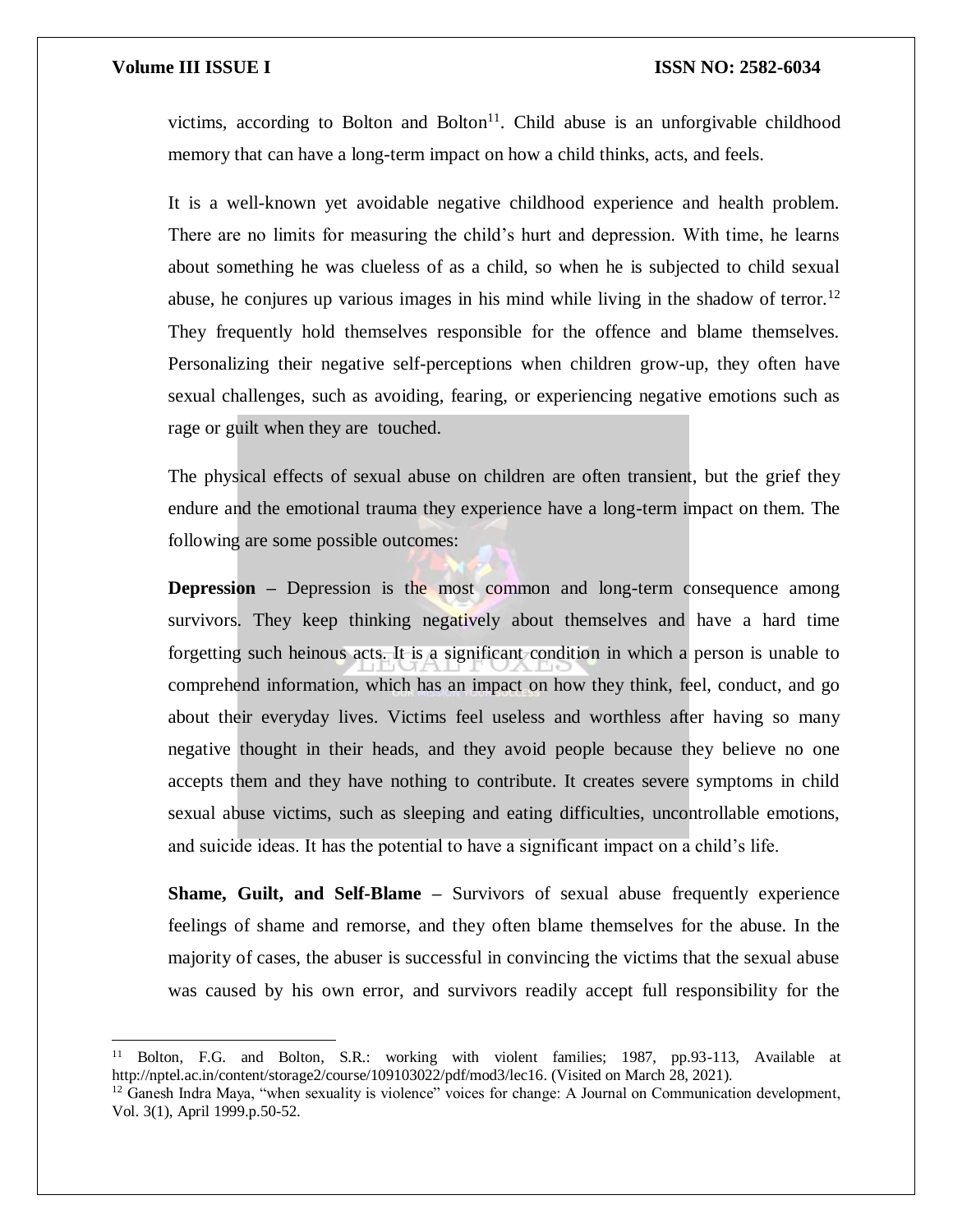$\overline{a}$ 

victims, according to Bolton and Bolton $11$ . Child abuse is an unforgivable childhood memory that can have a long-term impact on how a child thinks, acts, and feels.

It is a well-known yet avoidable negative childhood experience and health problem. There are no limits for measuring the child's hurt and depression. With time, he learns about something he was clueless of as a child, so when he is subjected to child sexual abuse, he conjures up various images in his mind while living in the shadow of terror.<sup>12</sup> They frequently hold themselves responsible for the offence and blame themselves. Personalizing their negative self-perceptions when children grow-up, they often have sexual challenges, such as avoiding, fearing, or experiencing negative emotions such as rage or guilt when they are touched.

The physical effects of sexual abuse on children are often transient, but the grief they endure and the emotional trauma they experience have a long-term impact on them. The following are some possible outcomes:

**Depression –** Depression is the most common and long-term consequence among survivors. They keep thinking negatively about themselves and have a hard time forgetting such heinous acts. It is a significant condition in which a person is unable to comprehend information, which has an impact on how they think, feel, conduct, and go about their everyday lives. Victims feel useless and worthless after having so many negative thought in their heads, and they avoid people because they believe no one accepts them and they have nothing to contribute. It creates severe symptoms in child sexual abuse victims, such as sleeping and eating difficulties, uncontrollable emotions, and suicide ideas. It has the potential to have a significant impact on a child's life.

**Shame, Guilt, and Self-Blame –** Survivors of sexual abuse frequently experience feelings of shame and remorse, and they often blame themselves for the abuse. In the majority of cases, the abuser is successful in convincing the victims that the sexual abuse was caused by his own error, and survivors readily accept full responsibility for the

<sup>11</sup> Bolton, F.G. and Bolton, S.R.: working with violent families; 1987, pp.93-113, Available at http://nptel.ac.in/content/storage2/course/109103022/pdf/mod3/lec16. (Visited on March 28, 2021).

<sup>&</sup>lt;sup>12</sup> Ganesh Indra Maya, "when sexuality is violence" voices for change: A Journal on Communication development, Vol. 3(1), April 1999.p.50-52.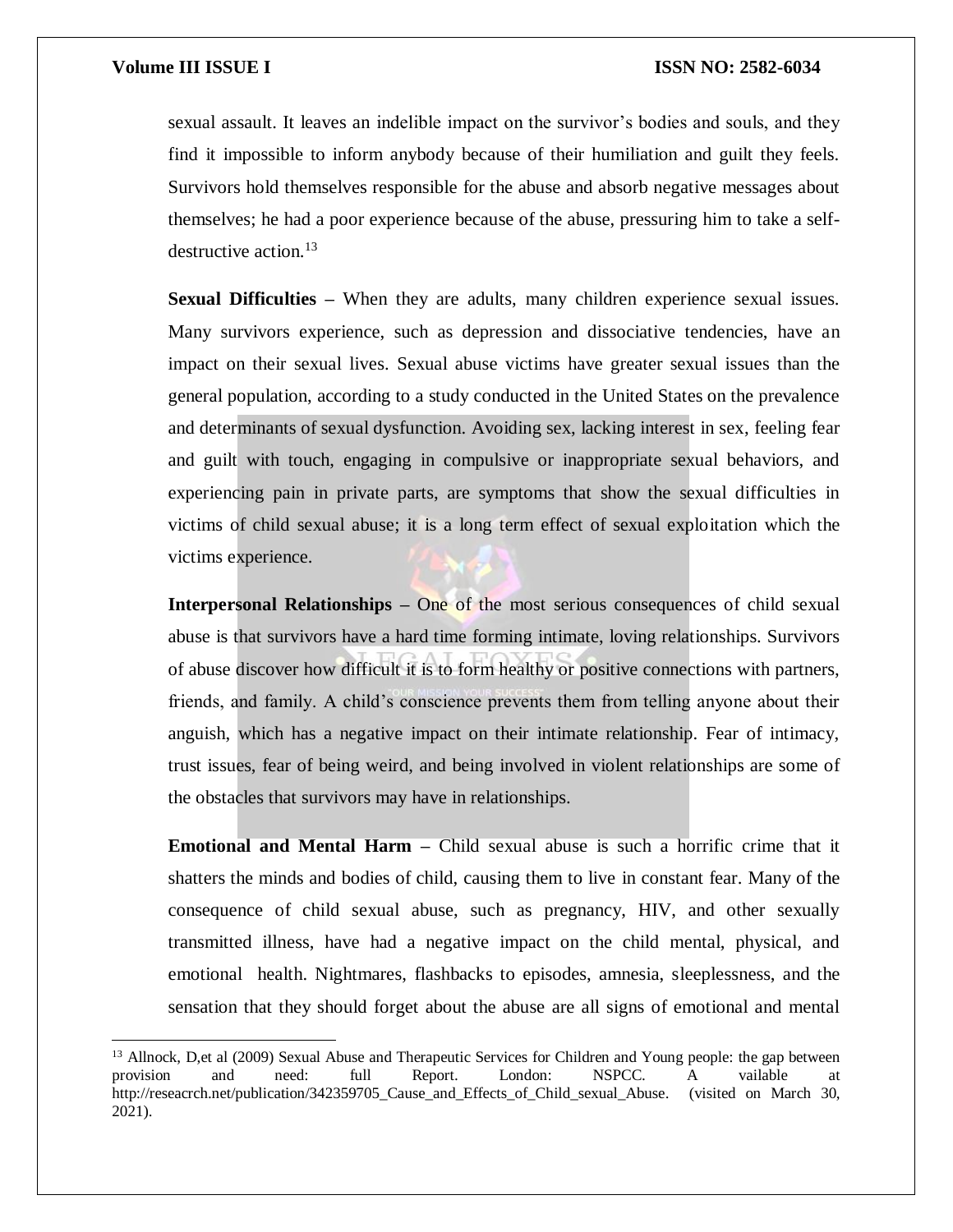$\overline{a}$ 

sexual assault. It leaves an indelible impact on the survivor's bodies and souls, and they find it impossible to inform anybody because of their humiliation and guilt they feels. Survivors hold themselves responsible for the abuse and absorb negative messages about themselves; he had a poor experience because of the abuse, pressuring him to take a selfdestructive action.<sup>13</sup>

**Sexual Difficulties –** When they are adults, many children experience sexual issues. Many survivors experience, such as depression and dissociative tendencies, have an impact on their sexual lives. Sexual abuse victims have greater sexual issues than the general population, according to a study conducted in the United States on the prevalence and determinants of sexual dysfunction. Avoiding sex, lacking interest in sex, feeling fear and guilt with touch, engaging in compulsive or inappropriate sexual behaviors, and experiencing pain in private parts, are symptoms that show the sexual difficulties in victims of child sexual abuse; it is a long term effect of sexual exploitation which the victims experience.

**Interpersonal Relationships –** One of the most serious consequences of child sexual abuse is that survivors have a hard time forming intimate, loving relationships. Survivors of abuse discover how difficult it is to form healthy or positive connections with partners, friends, and family. A child's conscience prevents them from telling anyone about their anguish, which has a negative impact on their intimate relationship. Fear of intimacy, trust issues, fear of being weird, and being involved in violent relationships are some of the obstacles that survivors may have in relationships.

**Emotional and Mental Harm –** Child sexual abuse is such a horrific crime that it shatters the minds and bodies of child, causing them to live in constant fear. Many of the consequence of child sexual abuse, such as pregnancy, HIV, and other sexually transmitted illness, have had a negative impact on the child mental, physical, and emotional health. Nightmares, flashbacks to episodes, amnesia, sleeplessness, and the sensation that they should forget about the abuse are all signs of emotional and mental

<sup>&</sup>lt;sup>13</sup> Allnock, D,et al (2009) Sexual Abuse and Therapeutic Services for Children and Young people: the gap between provision and need: full Report. London: NSPCC. A vailable at http://reseacrch.net/publication/342359705\_Cause\_and\_Effects\_of\_Child\_sexual\_Abuse. (visited on March 30, 2021).